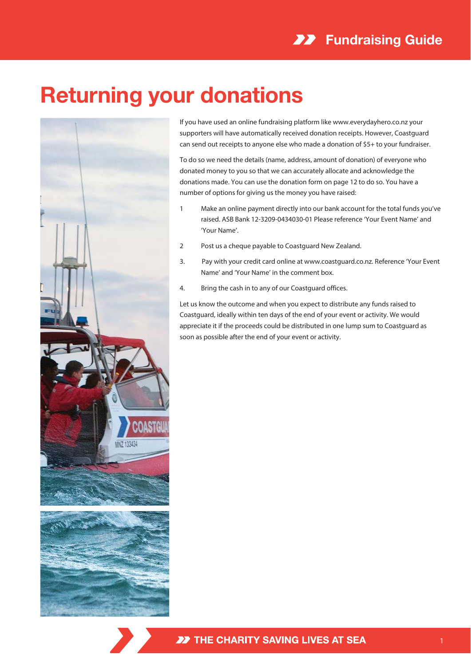## **Returning your donations**



If you have used an online fundraising platform like www.everydayhero.co.nz your supporters will have automatically received donation receipts. However, Coastguard can send out receipts to anyone else who made a donation of \$5+ to your fundraiser.

To do so we need the details (name, address, amount of donation) of everyone who donated money to you so that we can accurately allocate and acknowledge the donations made. You can use the donation form on page 12 to do so. You have a number of options for giving us the money you have raised:

- 1 Make an online payment directly into our bank account for the total funds you've raised. ASB Bank 12-3209-0434030-01 Please reference 'Your Event Name' and 'Your Name'.
- 2 Post us a cheque payable to Coastguard New Zealand.
- 3. Pay with your credit card online at www.coastguard.co.nz. Reference 'Your Event Name' and 'Your Name' in the comment box.
- 4. Bring the cash in to any of our Coastguard offices.

Let us know the outcome and when you expect to distribute any funds raised to Coastguard, ideally within ten days of the end of your event or activity. We would appreciate it if the proceeds could be distributed in one lump sum to Coastguard as soon as possible after the end of your event or activity.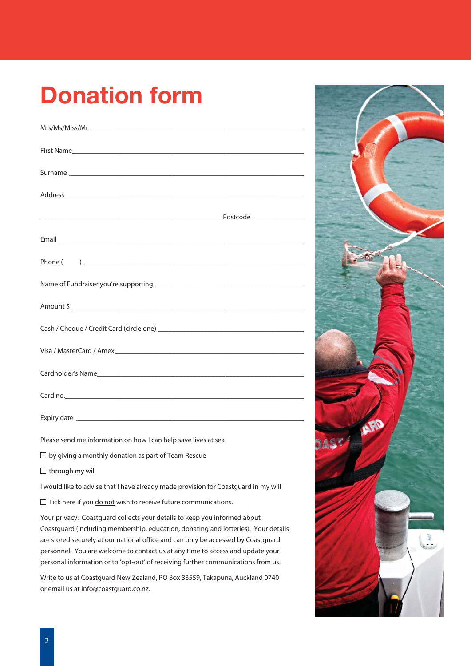## **Donation form**

| Surname experience and the contract of the contract of the contract of the contract of the contract of the contract of the contract of the contract of the contract of the contract of the contract of the contract of the con |  |
|--------------------------------------------------------------------------------------------------------------------------------------------------------------------------------------------------------------------------------|--|
|                                                                                                                                                                                                                                |  |
|                                                                                                                                                                                                                                |  |
|                                                                                                                                                                                                                                |  |
|                                                                                                                                                                                                                                |  |
|                                                                                                                                                                                                                                |  |
|                                                                                                                                                                                                                                |  |
| Amount \$                                                                                                                                                                                                                      |  |
|                                                                                                                                                                                                                                |  |
|                                                                                                                                                                                                                                |  |
|                                                                                                                                                                                                                                |  |
|                                                                                                                                                                                                                                |  |
|                                                                                                                                                                                                                                |  |
|                                                                                                                                                                                                                                |  |
|                                                                                                                                                                                                                                |  |

Please send me information on how I can help save lives at sea

- $\Box$  by giving a monthly donation as part of Team Rescue
- $\Box$  through my will

I would like to advise that I have already made provision for Coastguard in my will

 $\Box$  Tick here if you  $\underline{\text{do not}}$  wish to receive future communications.

Your privacy: Coastguard collects your details to keep you informed about Coastguard (including membership, education, donating and lotteries). Your details are stored securely at our national office and can only be accessed by Coastguard personnel. You are welcome to contact us at any time to access and update your personal information or to 'opt-out' of receiving further communications from us.

Write to us at Coastguard New Zealand, PO Box 33559, Takapuna, Auckland 0740 or email us at info@coastguard.co.nz.